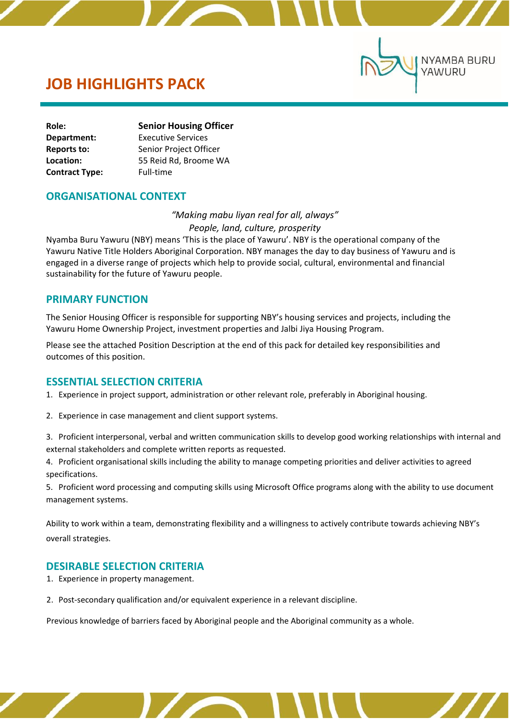# **JOB HIGHLIGHTS PACK**

| Role:                 | <b>Senior Housing Officer</b> |  |
|-----------------------|-------------------------------|--|
| Department:           | <b>Executive Services</b>     |  |
| Reports to:           | Senior Project Officer        |  |
| Location:             | 55 Reid Rd, Broome WA         |  |
| <b>Contract Type:</b> | Full-time                     |  |

### **ORGANISATIONAL CONTEXT**

*"Making mabu liyan real for all, always" People, land, culture, prosperity*

**NYAMBA BURU** 

YAWURU

Nyamba Buru Yawuru (NBY) means 'This is the place of Yawuru'. NBY is the operational company of the Yawuru Native Title Holders Aboriginal Corporation. NBY manages the day to day business of Yawuru and is engaged in a diverse range of projects which help to provide social, cultural, environmental and financial sustainability for the future of Yawuru people.

### **PRIMARY FUNCTION**

The Senior Housing Officer is responsible for supporting NBY's housing services and projects, including the Yawuru Home Ownership Project, investment properties and Jalbi Jiya Housing Program.

Please see the attached Position Description at the end of this pack for detailed key responsibilities and outcomes of this position.

### **ESSENTIAL SELECTION CRITERIA**

1. Experience in project support, administration or other relevant role, preferably in Aboriginal housing.

2. Experience in case management and client support systems.

3. Proficient interpersonal, verbal and written communication skills to develop good working relationships with internal and external stakeholders and complete written reports as requested.

4. Proficient organisational skills including the ability to manage competing priorities and deliver activities to agreed specifications.

5. Proficient word processing and computing skills using Microsoft Office programs along with the ability to use document management systems.

Ability to work within a team, demonstrating flexibility and a willingness to actively contribute towards achieving NBY's overall strategies.

### **DESIRABLE SELECTION CRITERIA**

- 1. Experience in property management.
- 2. Post-secondary qualification and/or equivalent experience in a relevant discipline.

Previous knowledge of barriers faced by Aboriginal people and the Aboriginal community as a whole.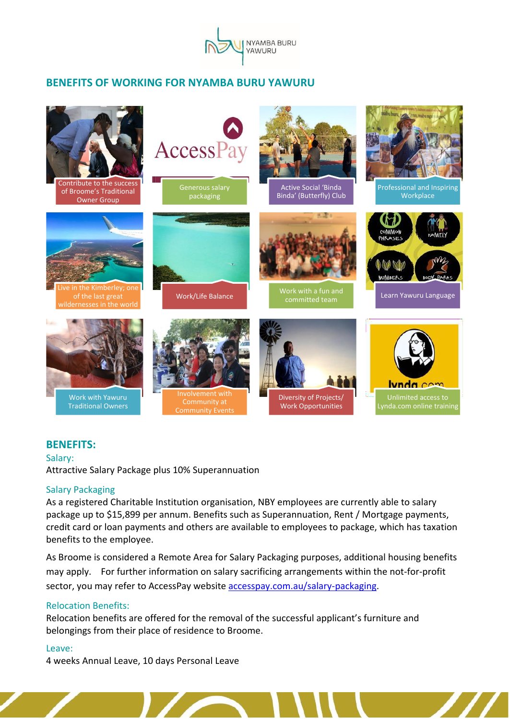

# **BENEFITS OF WORKING FOR NYAMBA BURU YAWURU**



### **BENEFITS:**

Salary:

Attractive Salary Package plus 10% Superannuation

#### Salary Packaging

As a registered Charitable Institution organisation, NBY employees are currently able to salary package up to \$15,899 per annum. Benefits such as Superannuation, Rent / Mortgage payments, credit card or loan payments and others are available to employees to package, which has taxation benefits to the employee.

As Broome is considered a Remote Area for Salary Packaging purposes, additional housing benefits may apply. For further information on salary sacrificing arrangements within the not-for-profit sector, you may refer to AccessPay website [accesspay.com.au/salary-packaging.](https://accesspay.com.au/salary-packaging/)

### Relocation Benefits:

Relocation benefits are offered for the removal of the successful applicant's furniture and belongings from their place of residence to Broome.

#### Leave:

4 weeks Annual Leave, 10 days Personal Leave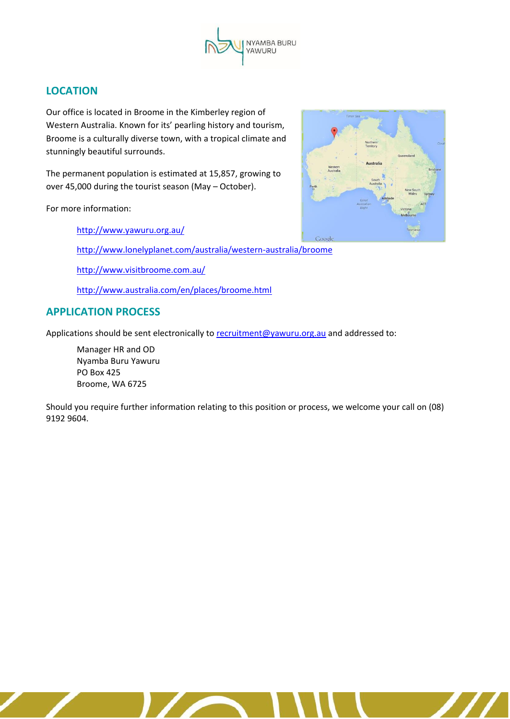

# **LOCATION**

Our office is located in Broome in the Kimberley region of Western Australia. Known for its' pearling history and tourism, Broome is a culturally diverse town, with a tropical climate and stunningly beautiful surrounds.

The permanent population is estimated at 15,857, growing to over 45,000 during the tourist season (May – October).

For more information:

<http://www.yawuru.org.au/>

<http://www.lonelyplanet.com/australia/western-australia/broome>

<http://www.visitbroome.com.au/>

<http://www.australia.com/en/places/broome.html>

# **APPLICATION PROCESS**

Applications should be sent electronically to [recruitment@yawuru.org.au](mailto:recruitment@yawuru.org.au) and addressed to:

Manager HR and OD Nyamba Buru Yawuru PO Box 425 Broome, WA 6725

Should you require further information relating to this position or process, we welcome your call on (08) 9192 9604.



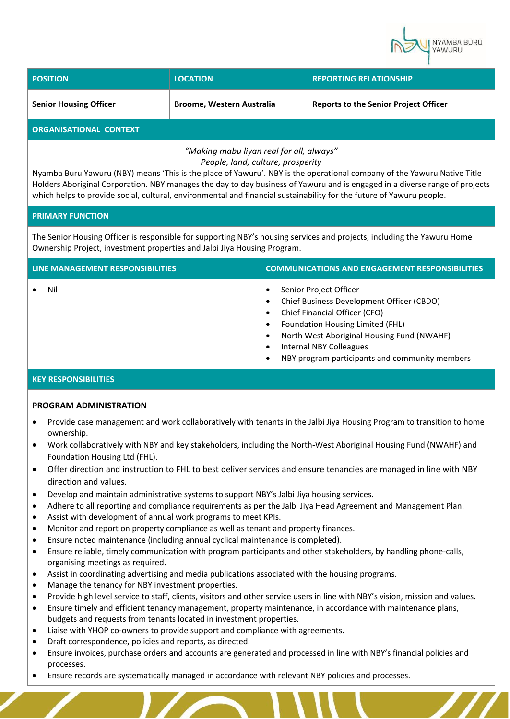

| <b>POSITION</b>               | <b>LOCATION</b>                  | <b>REPORTING RELATIONSHIP</b>                |
|-------------------------------|----------------------------------|----------------------------------------------|
| <b>Senior Housing Officer</b> | <b>Broome, Western Australia</b> | <b>Reports to the Senior Project Officer</b> |
| <b>ORGANISATIONAL CONTEXT</b> |                                  |                                              |

### *"Making mabu liyan real for all, always" People, land, culture, prosperity*

Nyamba Buru Yawuru (NBY) means 'This is the place of Yawuru'. NBY is the operational company of the Yawuru Native Title Holders Aboriginal Corporation. NBY manages the day to day business of Yawuru and is engaged in a diverse range of projects which helps to provide social, cultural, environmental and financial sustainability for the future of Yawuru people.

#### **PRIMARY FUNCTION**

The Senior Housing Officer is responsible for supporting NBY's housing services and projects, including the Yawuru Home Ownership Project, investment properties and Jalbi Jiya Housing Program.

| LINE MANAGEMENT RESPONSIBILITIES | <b>COMMUNICATIONS AND ENGAGEMENT RESPONSIBILITIES</b>                                                                                                                                                                                                               |
|----------------------------------|---------------------------------------------------------------------------------------------------------------------------------------------------------------------------------------------------------------------------------------------------------------------|
| Nil                              | Senior Project Officer<br>Chief Business Development Officer (CBDO)<br>Chief Financial Officer (CFO)<br>Foundation Housing Limited (FHL)<br>North West Aboriginal Housing Fund (NWAHF)<br>Internal NBY Colleagues<br>NBY program participants and community members |

#### **KEY RESPONSIBILITIES**

#### **PROGRAM ADMINISTRATION**

- Provide case management and work collaboratively with tenants in the Jalbi Jiya Housing Program to transition to home ownership.
- Work collaboratively with NBY and key stakeholders, including the North-West Aboriginal Housing Fund (NWAHF) and Foundation Housing Ltd (FHL).
- Offer direction and instruction to FHL to best deliver services and ensure tenancies are managed in line with NBY direction and values.
- Develop and maintain administrative systems to support NBY's Jalbi Jiya housing services.
- Adhere to all reporting and compliance requirements as per the Jalbi Jiya Head Agreement and Management Plan.
- Assist with development of annual work programs to meet KPIs.
- Monitor and report on property compliance as well as tenant and property finances.
- Ensure noted maintenance (including annual cyclical maintenance is completed).
- Ensure reliable, timely communication with program participants and other stakeholders, by handling phone-calls, organising meetings as required.
- Assist in coordinating advertising and media publications associated with the housing programs.
- Manage the tenancy for NBY investment properties.
- Provide high level service to staff, clients, visitors and other service users in line with NBY's vision, mission and values.
- Ensure timely and efficient tenancy management, property maintenance, in accordance with maintenance plans, budgets and requests from tenants located in investment properties.
- Liaise with YHOP co-owners to provide support and compliance with agreements.
- Draft correspondence, policies and reports, as directed.
- Ensure invoices, purchase orders and accounts are generated and processed in line with NBY's financial policies and processes.
- Ensure records are systematically managed in accordance with relevant NBY policies and processes.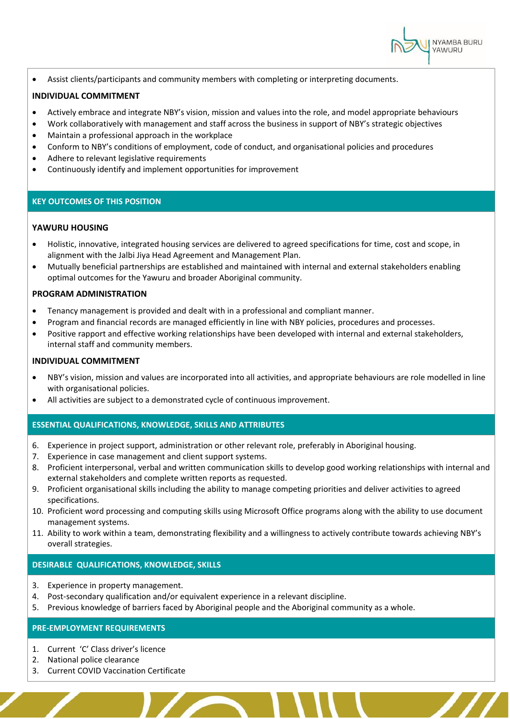

• Assist clients/participants and community members with completing or interpreting documents.

#### **INDIVIDUAL COMMITMENT**

- Actively embrace and integrate NBY's vision, mission and values into the role, and model appropriate behaviours
- Work collaboratively with management and staff across the business in support of NBY's strategic objectives
- Maintain a professional approach in the workplace
- Conform to NBY's conditions of employment, code of conduct, and organisational policies and procedures
- Adhere to relevant legislative requirements
- Continuously identify and implement opportunities for improvement

#### **KEY OUTCOMES OF THIS POSITION**

#### **YAWURU HOUSING**

- Holistic, innovative, integrated housing services are delivered to agreed specifications for time, cost and scope, in alignment with the Jalbi Jiya Head Agreement and Management Plan.
- Mutually beneficial partnerships are established and maintained with internal and external stakeholders enabling optimal outcomes for the Yawuru and broader Aboriginal community.

#### **PROGRAM ADMINISTRATION**

- Tenancy management is provided and dealt with in a professional and compliant manner.
- Program and financial records are managed efficiently in line with NBY policies, procedures and processes.
- Positive rapport and effective working relationships have been developed with internal and external stakeholders, internal staff and community members.

#### **INDIVIDUAL COMMITMENT**

- NBY's vision, mission and values are incorporated into all activities, and appropriate behaviours are role modelled in line with organisational policies.
- All activities are subject to a demonstrated cycle of continuous improvement.

#### **ESSENTIAL QUALIFICATIONS, KNOWLEDGE, SKILLS AND ATTRIBUTES**

- 6. Experience in project support, administration or other relevant role, preferably in Aboriginal housing.
- 7. Experience in case management and client support systems.
- 8. Proficient interpersonal, verbal and written communication skills to develop good working relationships with internal and external stakeholders and complete written reports as requested.
- 9. Proficient organisational skills including the ability to manage competing priorities and deliver activities to agreed specifications.
- 10. Proficient word processing and computing skills using Microsoft Office programs along with the ability to use document management systems.
- 11. Ability to work within a team, demonstrating flexibility and a willingness to actively contribute towards achieving NBY's overall strategies.

#### **DESIRABLE QUALIFICATIONS, KNOWLEDGE, SKILLS**

- 3. Experience in property management.
- 4. Post-secondary qualification and/or equivalent experience in a relevant discipline.
- 5. Previous knowledge of barriers faced by Aboriginal people and the Aboriginal community as a whole.

#### **PRE-EMPLOYMENT REQUIREMENTS**

- 1. Current 'C' Class driver's licence
- 2. National police clearance
- 3. Current COVID Vaccination Certificate